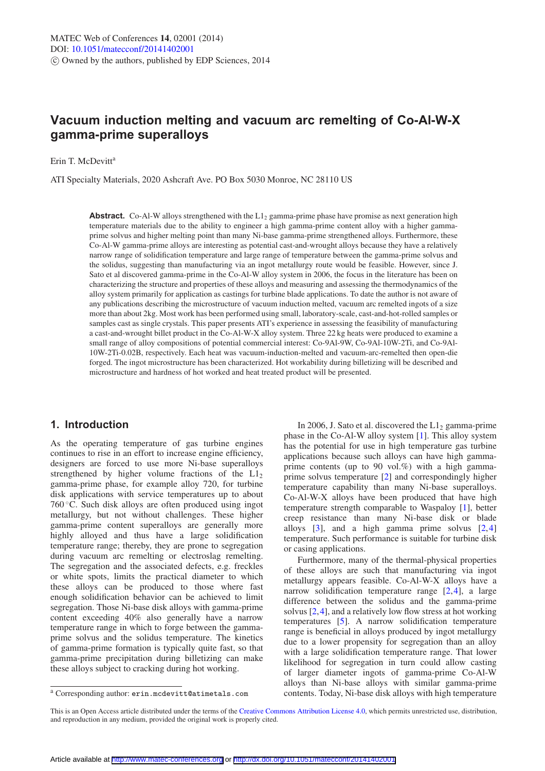# **Vacuum induction melting and vacuum arc remelting of Co-Al-W-X gamma-prime superalloys**

Erin T. McDevitt<sup>a</sup>

ATI Specialty Materials, 2020 Ashcraft Ave. PO Box 5030 Monroe, NC 28110 US

**Abstract.** Co-Al-W alloys strengthened with the  $L_1$ <sub>2</sub> gamma-prime phase have promise as next generation high temperature materials due to the ability to engineer a high gamma-prime content alloy with a higher gammaprime solvus and higher melting point than many Ni-base gamma-prime strengthened alloys. Furthermore, these Co-Al-W gamma-prime alloys are interesting as potential cast-and-wrought alloys because they have a relatively narrow range of solidification temperature and large range of temperature between the gamma-prime solvus and the solidus, suggesting than manufacturing via an ingot metallurgy route would be feasible. However, since J. Sato et al discovered gamma-prime in the Co-Al-W alloy system in 2006, the focus in the literature has been on characterizing the structure and properties of these alloys and measuring and assessing the thermodynamics of the alloy system primarily for application as castings for turbine blade applications. To date the author is not aware of any publications describing the microstructure of vacuum induction melted, vacuum arc remelted ingots of a size more than about 2kg. Most work has been performed using small, laboratory-scale, cast-and-hot-rolled samples or samples cast as single crystals. This paper presents ATI's experience in assessing the feasibility of manufacturing a cast-and-wrought billet product in the Co-Al-W-X alloy system. Three 22 kg heats were produced to examine a small range of alloy compositions of potential commercial interest: Co-9Al-9W, Co-9Al-10W-2Ti, and Co-9Al-10W-2Ti-0.02B, respectively. Each heat was vacuum-induction-melted and vacuum-arc-remelted then open-die forged. The ingot microstructure has been characterized. Hot workability during billetizing will be described and microstructure and hardness of hot worked and heat treated product will be presented.

# **1. Introduction**

As the operating temperature of gas turbine engines continues to rise in an effort to increase engine efficiency, designers are forced to use more Ni-base superalloys strengthened by higher volume fractions of the  $L1<sub>2</sub>$ gamma-prime phase, for example alloy 720, for turbine disk applications with service temperatures up to about 760 °C. Such disk alloys are often produced using ingot metallurgy, but not without challenges. These higher gamma-prime content superalloys are generally more highly alloyed and thus have a large solidification temperature range; thereby, they are prone to segregation during vacuum arc remelting or electroslag remelting. The segregation and the associated defects, e.g. freckles or white spots, limits the practical diameter to which these alloys can be produced to those where fast enough solidification behavior can be achieved to limit segregation. Those Ni-base disk alloys with gamma-prime content exceeding 40% also generally have a narrow temperature range in which to forge between the gammaprime solvus and the solidus temperature. The kinetics of gamma-prime formation is typically quite fast, so that gamma-prime precipitation during billetizing can make these alloys subject to cracking during hot working.

In 2006, J. Sato et al. discovered the  $L1_2$  gamma-prime phase in the Co-Al-W alloy system [\[1\]](#page-5-0). This alloy system has the potential for use in high temperature gas turbine applications because such alloys can have high gammaprime contents (up to 90 vol.%) with a high gammaprime solvus temperature [\[2](#page-5-1)] and correspondingly higher temperature capability than many Ni-base superalloys. Co-Al-W-X alloys have been produced that have high temperature strength comparable to Waspaloy [\[1\]](#page-5-0), better creep resistance than many Ni-base disk or blade alloys [\[3](#page-5-2)], and a high gamma prime solvus [\[2](#page-5-1),[4\]](#page-5-3) temperature. Such performance is suitable for turbine disk or casing applications.

Furthermore, many of the thermal-physical properties of these alloys are such that manufacturing via ingot metallurgy appears feasible. Co-Al-W-X alloys have a narrow solidification temperature range [\[2](#page-5-1)[,4](#page-5-3)], a large difference between the solidus and the gamma-prime solvus [\[2](#page-5-1)[,4](#page-5-3)], and a relatively low flow stress at hot working temperatures [\[5](#page-5-4)]. A narrow solidification temperature range is beneficial in alloys produced by ingot metallurgy due to a lower propensity for segregation than an alloy with a large solidification temperature range. That lower likelihood for segregation in turn could allow casting of larger diameter ingots of gamma-prime Co-Al-W alloys than Ni-base alloys with similar gamma-prime contents. Today, Ni-base disk alloys with high temperature

<sup>a</sup> Corresponding author: erin.mcdevitt@atimetals.com

This is an Open Access article distributed under the terms of the [Creative Commons Attribution License 4.0,](http://creativecommons.org/licenses/by/4.0/) which permits unrestricted use, distribution, and reproduction in any medium, provided the original work is properly cited.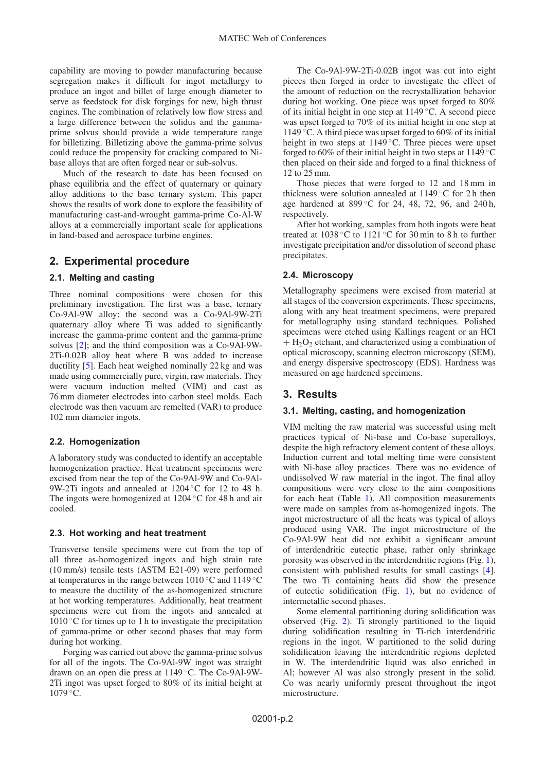capability are moving to powder manufacturing because segregation makes it difficult for ingot metallurgy to produce an ingot and billet of large enough diameter to serve as feedstock for disk forgings for new, high thrust engines. The combination of relatively low flow stress and a large difference between the solidus and the gammaprime solvus should provide a wide temperature range for billetizing. Billetizing above the gamma-prime solvus could reduce the propensity for cracking compared to Nibase alloys that are often forged near or sub-solvus.

Much of the research to date has been focused on phase equilibria and the effect of quaternary or quinary alloy additions to the base ternary system. This paper shows the results of work done to explore the feasibility of manufacturing cast-and-wrought gamma-prime Co-Al-W alloys at a commercially important scale for applications in land-based and aerospace turbine engines.

# **2. Experimental procedure**

## **2.1. Melting and casting**

Three nominal compositions were chosen for this preliminary investigation. The first was a base, ternary Co-9Al-9W alloy; the second was a Co-9Al-9W-2Ti quaternary alloy where Ti was added to significantly increase the gamma-prime content and the gamma-prime solvus [\[2](#page-5-1)]; and the third composition was a Co-9Al-9W-2Ti-0.02B alloy heat where B was added to increase ductility [\[5](#page-5-4)]. Each heat weighed nominally 22 kg and was made using commercially pure, virgin, raw materials. They were vacuum induction melted (VIM) and cast as 76 mm diameter electrodes into carbon steel molds. Each electrode was then vacuum arc remelted (VAR) to produce 102 mm diameter ingots.

#### **2.2. Homogenization**

A laboratory study was conducted to identify an acceptable homogenization practice. Heat treatment specimens were excised from near the top of the Co-9Al-9W and Co-9Al-9W-2Ti ingots and annealed at 1204 ◦C for 12 to 48 h. The ingots were homogenized at 1204 ◦C for 48 h and air cooled.

## **2.3. Hot working and heat treatment**

Transverse tensile specimens were cut from the top of all three as-homogenized ingots and high strain rate (10 mm/s) tensile tests (ASTM E21-09) were performed at temperatures in the range between  $1010\,^{\circ}\text{C}$  and  $1149\,^{\circ}\text{C}$ to measure the ductility of the as-homogenized structure at hot working temperatures. Additionally, heat treatment specimens were cut from the ingots and annealed at  $1010\degree$ C for times up to 1 h to investigate the precipitation of gamma-prime or other second phases that may form during hot working.

Forging was carried out above the gamma-prime solvus for all of the ingots. The Co-9Al-9W ingot was straight drawn on an open die press at 1149 ◦C. The Co-9Al-9W-2Ti ingot was upset forged to 80% of its initial height at  $1079 °C$ .

The Co-9Al-9W-2Ti-0.02B ingot was cut into eight pieces then forged in order to investigate the effect of the amount of reduction on the recrystallization behavior during hot working. One piece was upset forged to 80% of its initial height in one step at 1149 ◦C. A second piece was upset forged to 70% of its initial height in one step at 1149 ◦C. A third piece was upset forged to 60% of its initial height in two steps at 1149 °C. Three pieces were upset forged to 60% of their initial height in two steps at  $1149\textdegree C$ then placed on their side and forged to a final thickness of 12 to 25 mm.

Those pieces that were forged to 12 and 18 mm in thickness were solution annealed at 1149 °C for 2h then age hardened at 899 °C for 24, 48, 72, 96, and 240 h, respectively.

After hot working, samples from both ingots were heat treated at 1038 ◦C to 1121 ◦C for 30 min to 8 h to further investigate precipitation and/or dissolution of second phase precipitates.

## **2.4. Microscopy**

Metallography specimens were excised from material at all stages of the conversion experiments. These specimens, along with any heat treatment specimens, were prepared for metallography using standard techniques. Polished specimens were etched using Kallings reagent or an HCl  $+$  H<sub>2</sub>O<sub>2</sub> etchant, and characterized using a combination of optical microscopy, scanning electron microscopy (SEM), and energy dispersive spectroscopy (EDS). Hardness was measured on age hardened specimens.

# **3. Results**

#### **3.1. Melting, casting, and homogenization**

VIM melting the raw material was successful using melt practices typical of Ni-base and Co-base superalloys, despite the high refractory element content of these alloys. Induction current and total melting time were consistent with Ni-base alloy practices. There was no evidence of undissolved W raw material in the ingot. The final alloy compositions were very close to the aim compositions for each heat (Table [1\)](#page-2-0). All composition measurements were made on samples from as-homogenized ingots. The ingot microstructure of all the heats was typical of alloys produced using VAR. The ingot microstructure of the Co-9Al-9W heat did not exhibit a significant amount of interdendritic eutectic phase, rather only shrinkage porosity was observed in the interdendritic regions (Fig. [1\)](#page-2-1), consistent with published results for small castings [\[4](#page-5-3)]. The two Ti containing heats did show the presence of eutectic solidification (Fig. [1\)](#page-2-1), but no evidence of intermetallic second phases.

Some elemental partitioning during solidification was observed (Fig. [2\)](#page-2-2). Ti strongly partitioned to the liquid during solidification resulting in Ti-rich interdendritic regions in the ingot. W partitioned to the solid during solidification leaving the interdendritic regions depleted in W. The interdendritic liquid was also enriched in Al; however Al was also strongly present in the solid. Co was nearly uniformly present throughout the ingot microstructure.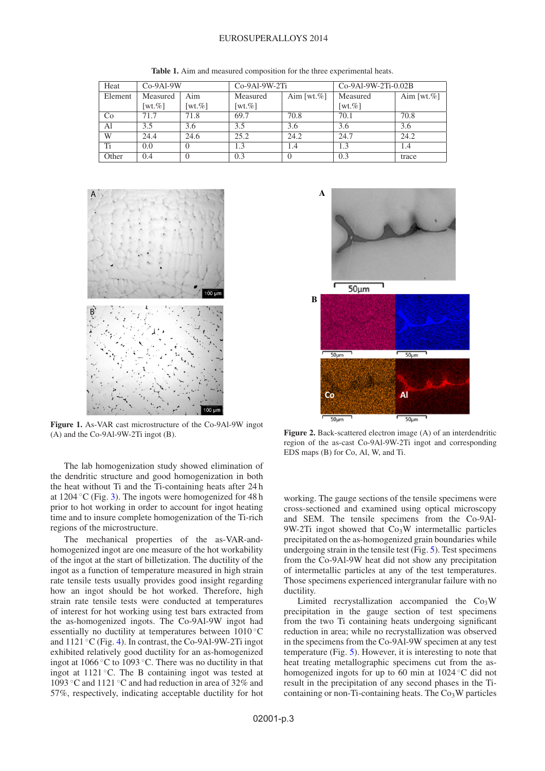#### EUROSUPERALLOYS 2014

<span id="page-2-0"></span>

| Heat    | $Co-9Al-9W$ |                        | $Co-9Al-9W-2Ti$ |                 | $Co-9Al-9W-2Ti-0.02B$  |                |
|---------|-------------|------------------------|-----------------|-----------------|------------------------|----------------|
| Element | Measured    | Aim                    | Measured        | Aim [wt. $\%$ ] | Measured               | Aim [wt. $%$ ] |
|         | [wt. $%$ ]  | $\lceil wt. \% \rceil$ | [wt. $%$ ]      |                 | $\lceil wt. \% \rceil$ |                |
| Co      | 71.7        | 71.8                   | 69.7            | 70.8            | 70.1                   | 70.8           |
| Al      | 3.5         | 3.6                    | 3.5             | 3.6             | 3.6                    | 3.6            |
| W       | 24.4        | 24.6                   | 25.2            | 24.2            | 24.7                   | 24.2           |
| Ti      | 0.0         | $\theta$               | 1.3             | 1.4             | 1.3                    | 1.4            |
| Other   | 0.4         | 0                      | 0.3             |                 | 0.3                    | trace          |

**Table 1.** Aim and measured composition for the three experimental heats.

<span id="page-2-1"></span>

**Figure 1.** As-VAR cast microstructure of the Co-9Al-9W ingot (A) and the Co-9Al-9W-2Ti ingot (B).



The mechanical properties of the as-VAR-andhomogenized ingot are one measure of the hot workability of the ingot at the start of billetization. The ductility of the ingot as a function of temperature measured in high strain rate tensile tests usually provides good insight regarding how an ingot should be hot worked. Therefore, high strain rate tensile tests were conducted at temperatures of interest for hot working using test bars extracted from the as-homogenized ingots. The Co-9Al-9W ingot had essentially no ductility at temperatures between 1010 °C and  $1121 \degree C$  (Fig. [4\)](#page-3-1). In contrast, the Co-9Al-9W-2Ti ingot exhibited relatively good ductility for an as-homogenized ingot at 1066 ◦C to 1093 ◦C. There was no ductility in that ingot at  $1121^\circ$ C. The B containing ingot was tested at 1093 ◦C and 1121 ◦C and had reduction in area of 32% and 57%, respectively, indicating acceptable ductility for hot

<span id="page-2-2"></span>

**Figure 2.** Back-scattered electron image (A) of an interdendritic region of the as-cast Co-9Al-9W-2Ti ingot and corresponding EDS maps (B) for Co, Al, W, and Ti.

working. The gauge sections of the tensile specimens were cross-sectioned and examined using optical microscopy and SEM. The tensile specimens from the Co-9Al-9W-2Ti ingot showed that  $Co<sub>3</sub>W$  intermetallic particles precipitated on the as-homogenized grain boundaries while undergoing strain in the tensile test (Fig. [5\)](#page-3-2). Test specimens from the Co-9Al-9W heat did not show any precipitation of intermetallic particles at any of the test temperatures. Those specimens experienced intergranular failure with no ductility.

Limited recrystallization accompanied the  $Co<sub>3</sub>W$ precipitation in the gauge section of test specimens from the two Ti containing heats undergoing significant reduction in area; while no recrystallization was observed in the specimens from the Co-9Al-9W specimen at any test temperature (Fig. [5\)](#page-3-2). However, it is interesting to note that heat treating metallographic specimens cut from the ashomogenized ingots for up to 60 min at 1024 ◦C did not result in the precipitation of any second phases in the Ticontaining or non-Ti-containing heats. The  $Co<sub>3</sub>W$  particles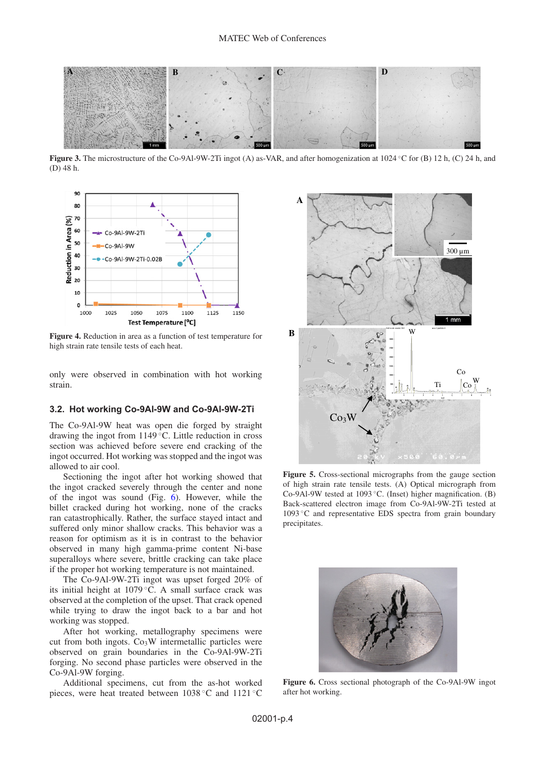

<span id="page-3-1"></span><span id="page-3-0"></span>**Figure 3.** The microstructure of the Co-9Al-9W-2Ti ingot (A) as-VAR, and after homogenization at 1024 ◦C for (B) 12 h, (C) 24 h, and (D) 48 h.



**Figure 4.** Reduction in area as a function of test temperature for high strain rate tensile tests of each heat.

only were observed in combination with hot working strain.

#### **3.2. Hot working Co-9Al-9W and Co-9Al-9W-2Ti**

The Co-9Al-9W heat was open die forged by straight drawing the ingot from 1149 ◦C. Little reduction in cross section was achieved before severe end cracking of the ingot occurred. Hot working was stopped and the ingot was allowed to air cool.

Sectioning the ingot after hot working showed that the ingot cracked severely through the center and none of the ingot was sound (Fig.  $\overline{6}$ ). However, while the billet cracked during hot working, none of the cracks ran catastrophically. Rather, the surface stayed intact and suffered only minor shallow cracks. This behavior was a reason for optimism as it is in contrast to the behavior observed in many high gamma-prime content Ni-base superalloys where severe, brittle cracking can take place if the proper hot working temperature is not maintained.

The Co-9Al-9W-2Ti ingot was upset forged 20% of its initial height at 1079 ◦C. A small surface crack was observed at the completion of the upset. That crack opened while trying to draw the ingot back to a bar and hot working was stopped.

After hot working, metallography specimens were cut from both ingots.  $Co<sub>3</sub>W$  intermetallic particles were observed on grain boundaries in the Co-9Al-9W-2Ti forging. No second phase particles were observed in the Co-9Al-9W forging.

Additional specimens, cut from the as-hot worked pieces, were heat treated between 1038 ◦C and 1121 ◦C

<span id="page-3-2"></span>

**Figure 5.** Cross-sectional micrographs from the gauge section of high strain rate tensile tests. (A) Optical micrograph from Co-9Al-9W tested at 1093 ◦C. (Inset) higher magnification. (B) Back-scattered electron image from Co-9Al-9W-2Ti tested at 1093 ◦C and representative EDS spectra from grain boundary precipitates.

<span id="page-3-3"></span>

**Figure 6.** Cross sectional photograph of the Co-9Al-9W ingot after hot working.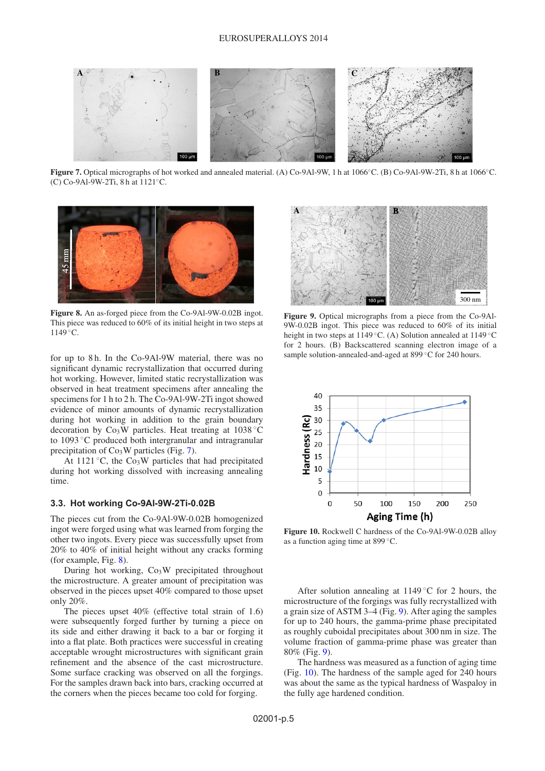

<span id="page-4-0"></span>**Figure 7.** Optical micrographs of hot worked and annealed material. (A) Co-9Al-9W, 1 h at 1066◦C. (B) Co-9Al-9W-2Ti, 8 h at 1066◦C. (C) Co-9Al-9W-2Ti, 8 h at 1121◦C.

<span id="page-4-1"></span>

**Figure 8.** An as-forged piece from the Co-9Al-9W-0.02B ingot. This piece was reduced to 60% of its initial height in two steps at 1149 ◦C.

for up to 8 h. In the Co-9Al-9W material, there was no significant dynamic recrystallization that occurred during hot working. However, limited static recrystallization was observed in heat treatment specimens after annealing the specimens for 1 h to 2 h. The Co-9Al-9W-2Ti ingot showed evidence of minor amounts of dynamic recrystallization during hot working in addition to the grain boundary decoration by  $Co<sub>3</sub>W$  particles. Heat treating at 1038 °C to 1093 ◦C produced both intergranular and intragranular precipitation of  $Co<sub>3</sub>W$  particles (Fig. [7\)](#page-4-0).

At 1121 °C, the  $Co<sub>3</sub>W$  particles that had precipitated during hot working dissolved with increasing annealing time.

### **3.3. Hot working Co-9Al-9W-2Ti-0.02B**

The pieces cut from the Co-9Al-9W-0.02B homogenized ingot were forged using what was learned from forging the other two ingots. Every piece was successfully upset from 20% to 40% of initial height without any cracks forming (for example, Fig. [8\)](#page-4-1).

During hot working,  $Co<sub>3</sub>W$  precipitated throughout the microstructure. A greater amount of precipitation was observed in the pieces upset 40% compared to those upset only 20%.

The pieces upset 40% (effective total strain of 1.6) were subsequently forged further by turning a piece on its side and either drawing it back to a bar or forging it into a flat plate. Both practices were successful in creating acceptable wrought microstructures with significant grain refinement and the absence of the cast microstructure. Some surface cracking was observed on all the forgings. For the samples drawn back into bars, cracking occurred at the corners when the pieces became too cold for forging.

<span id="page-4-2"></span>

**Figure 9.** Optical micrographs from a piece from the Co-9Al-9W-0.02B ingot. This piece was reduced to 60% of its initial height in two steps at 1149 ◦C. (A) Solution annealed at 1149 ◦C for 2 hours. (B) Backscattered scanning electron image of a sample solution-annealed-and-aged at 899 ℃ for 240 hours.

<span id="page-4-3"></span>

**Figure 10.** Rockwell C hardness of the Co-9Al-9W-0.02B alloy as a function aging time at 899 ◦C.

After solution annealing at 1149  $\degree$ C for 2 hours, the microstructure of the forgings was fully recrystallized with a grain size of ASTM 3–4 (Fig. [9\)](#page-4-2). After aging the samples for up to 240 hours, the gamma-prime phase precipitated as roughly cuboidal precipitates about 300 nm in size. The volume fraction of gamma-prime phase was greater than 80% (Fig. [9\)](#page-4-2).

The hardness was measured as a function of aging time (Fig. [10\)](#page-4-3). The hardness of the sample aged for 240 hours was about the same as the typical hardness of Waspaloy in the fully age hardened condition.